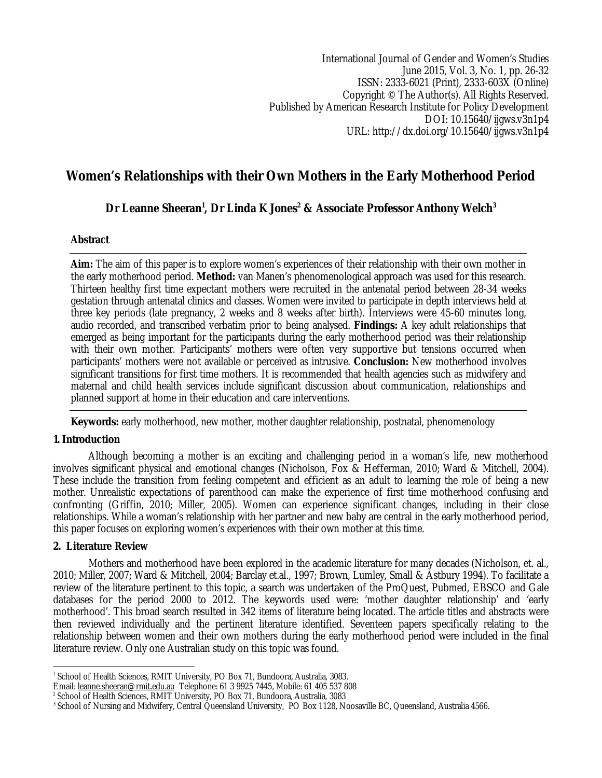International Journal of Gender and Women's Studies June 2015, Vol. 3, No. 1, pp. 26-32 ISSN: 2333-6021 (Print), 2333-603X (Online) Copyright © The Author(s). All Rights Reserved. Published by American Research Institute for Policy Development DOI: 10.15640/ijgws.v3n1p4 URL: http://dx.doi.org/10.15640/ijgws.v3n1p4

# **Women's Relationships with their Own Mothers in the Early Motherhood Period**

**Dr Leanne Sheeran<sup>1</sup> , Dr Linda K Jones<sup>2</sup> & Associate Professor Anthony Welch<sup>3</sup>**

# **Abstract**

**Aim:** The aim of this paper is to explore women's experiences of their relationship with their own mother in the early motherhood period. **Method:** van Manen's phenomenological approach was used for this research. Thirteen healthy first time expectant mothers were recruited in the antenatal period between 28-34 weeks gestation through antenatal clinics and classes. Women were invited to participate in depth interviews held at three key periods (late pregnancy, 2 weeks and 8 weeks after birth). Interviews were 45-60 minutes long, audio recorded, and transcribed verbatim prior to being analysed. **Findings:** A key adult relationships that emerged as being important for the participants during the early motherhood period was their relationship with their own mother. Participants' mothers were often very supportive but tensions occurred when participants' mothers were not available or perceived as intrusive. **Conclusion:** New motherhood involves significant transitions for first time mothers. It is recommended that health agencies such as midwifery and maternal and child health services include significant discussion about communication, relationships and planned support at home in their education and care interventions.

**Keywords:** early motherhood, new mother, mother daughter relationship, postnatal, phenomenology

# **1.Introduction**

Although becoming a mother is an exciting and challenging period in a woman's life, new motherhood involves significant physical and emotional changes (Nicholson, Fox & Hefferman, 2010; Ward & Mitchell, 2004). These include the transition from feeling competent and efficient as an adult to learning the role of being a new mother. Unrealistic expectations of parenthood can make the experience of first time motherhood confusing and confronting (Griffin, 2010; Miller, 2005). Women can experience significant changes, including in their close relationships. While a woman's relationship with her partner and new baby are central in the early motherhood period, this paper focuses on exploring women's experiences with their own mother at this time.

## **2. Literature Review**

Mothers and motherhood have been explored in the academic literature for many decades (Nicholson, et. al., 2010; Miller, 2007; Ward & Mitchell, 2004; Barclay et.al., 1997; Brown, Lumley, Small & Astbury 1994). To facilitate a review of the literature pertinent to this topic, a search was undertaken of the ProQuest, Pubmed, EBSCO and Gale databases for the period 2000 to 2012. The keywords used were: 'mother daughter relationship' and 'early motherhood'. This broad search resulted in 342 items of literature being located. The article titles and abstracts were then reviewed individually and the pertinent literature identified. Seventeen papers specifically relating to the relationship between women and their own mothers during the early motherhood period were included in the final literature review. Only one Australian study on this topic was found.

 1 School of Health Sciences, RMIT University, PO Box 71, Bundoora, Australia, 3083.

Email: leanne.sheeran@rmit.edu.au Telephone: 61 3 9925 7445, Mobile: 61 405 537 808

<sup>2</sup> School of Health Sciences, RMIT University, PO Box 71, Bundoora, Australia, 3083

 $^3$  School of Nursing and Midwifery, Central Queensland University, PO Box 1128, Noosaville BC, Queensland, Australia 4566.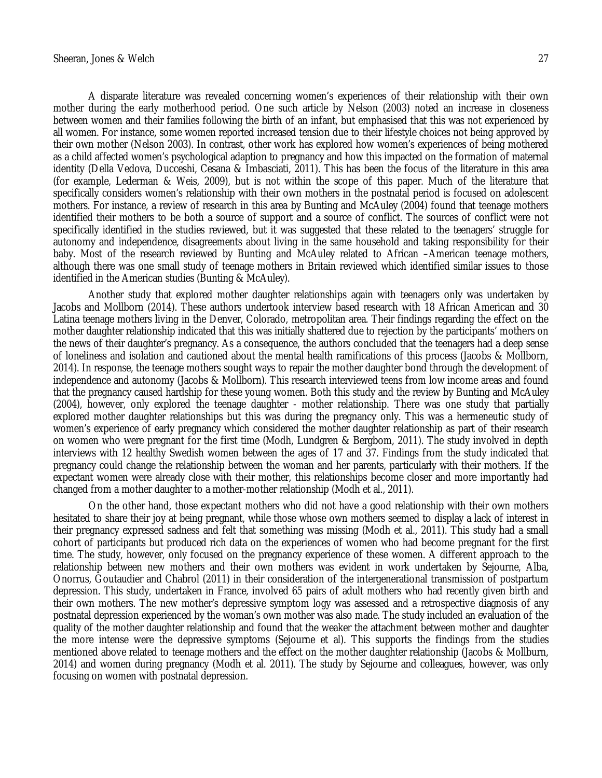A disparate literature was revealed concerning women's experiences of their relationship with their own mother during the early motherhood period. One such article by Nelson (2003) noted an increase in closeness between women and their families following the birth of an infant, but emphasised that this was not experienced by all women. For instance, some women reported increased tension due to their lifestyle choices not being approved by their own mother (Nelson 2003). In contrast, other work has explored how women's experiences of being mothered as a child affected women's psychological adaption to pregnancy and how this impacted on the formation of maternal identity (Della Vedova, Ducceshi, Cesana & Imbasciati, 2011). This has been the focus of the literature in this area (for example, Lederman & Weis, 2009), but is not within the scope of this paper. Much of the literature that specifically considers women's relationship with their own mothers in the postnatal period is focused on adolescent mothers. For instance, a review of research in this area by Bunting and McAuley (2004) found that teenage mothers identified their mothers to be both a source of support and a source of conflict. The sources of conflict were not specifically identified in the studies reviewed, but it was suggested that these related to the teenagers' struggle for autonomy and independence, disagreements about living in the same household and taking responsibility for their baby. Most of the research reviewed by Bunting and McAuley related to African –American teenage mothers, although there was one small study of teenage mothers in Britain reviewed which identified similar issues to those identified in the American studies (Bunting & McAuley).

Another study that explored mother daughter relationships again with teenagers only was undertaken by Jacobs and Mollborn (2014). These authors undertook interview based research with 18 African American and 30 Latina teenage mothers living in the Denver, Colorado, metropolitan area. Their findings regarding the effect on the mother daughter relationship indicated that this was initially shattered due to rejection by the participants' mothers on the news of their daughter's pregnancy. As a consequence, the authors concluded that the teenagers had a deep sense of loneliness and isolation and cautioned about the mental health ramifications of this process (Jacobs & Mollborn, 2014). In response, the teenage mothers sought ways to repair the mother daughter bond through the development of independence and autonomy (Jacobs & Mollborn). This research interviewed teens from low income areas and found that the pregnancy caused hardship for these young women. Both this study and the review by Bunting and McAuley (2004), however, only explored the teenage daughter - mother relationship. There was one study that partially explored mother daughter relationships but this was during the pregnancy only. This was a hermeneutic study of women's experience of early pregnancy which considered the mother daughter relationship as part of their research on women who were pregnant for the first time (Modh, Lundgren & Bergbom, 2011). The study involved in depth interviews with 12 healthy Swedish women between the ages of 17 and 37. Findings from the study indicated that pregnancy could change the relationship between the woman and her parents, particularly with their mothers. If the expectant women were already close with their mother, this relationships become closer and more importantly had changed from a mother daughter to a mother-mother relationship (Modh et al., 2011).

On the other hand, those expectant mothers who did not have a good relationship with their own mothers hesitated to share their joy at being pregnant, while those whose own mothers seemed to display a lack of interest in their pregnancy expressed sadness and felt that something was missing (Modh et al., 2011). This study had a small cohort of participants but produced rich data on the experiences of women who had become pregnant for the first time. The study, however, only focused on the pregnancy experience of these women. A different approach to the relationship between new mothers and their own mothers was evident in work undertaken by Sejourne, Alba, Onorrus, Goutaudier and Chabrol (2011) in their consideration of the intergenerational transmission of postpartum depression. This study, undertaken in France, involved 65 pairs of adult mothers who had recently given birth and their own mothers. The new mother's depressive symptom logy was assessed and a retrospective diagnosis of any postnatal depression experienced by the woman's own mother was also made. The study included an evaluation of the quality of the mother daughter relationship and found that the weaker the attachment between mother and daughter the more intense were the depressive symptoms (Sejourne et al). This supports the findings from the studies mentioned above related to teenage mothers and the effect on the mother daughter relationship (Jacobs & Mollburn, 2014) and women during pregnancy (Modh et al. 2011). The study by Sejourne and colleagues, however, was only focusing on women with postnatal depression.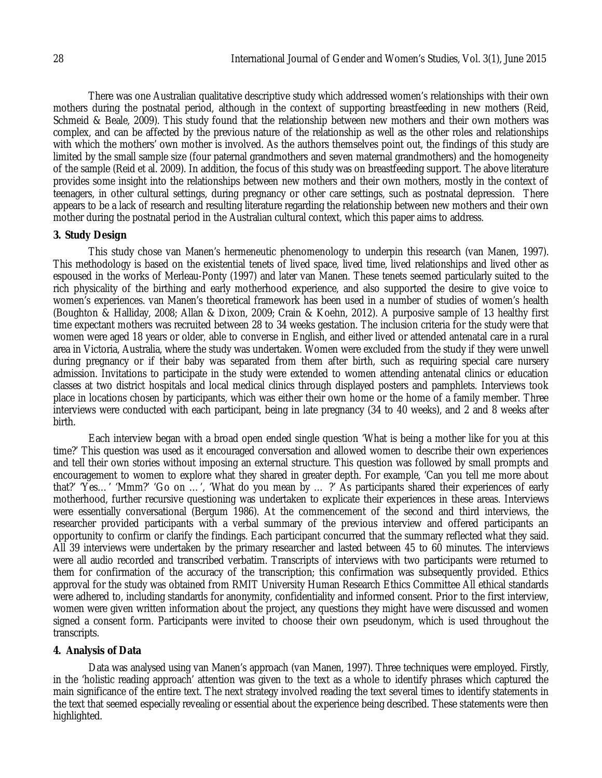There was one Australian qualitative descriptive study which addressed women's relationships with their own mothers during the postnatal period, although in the context of supporting breastfeeding in new mothers (Reid, Schmeid & Beale, 2009). This study found that the relationship between new mothers and their own mothers was complex, and can be affected by the previous nature of the relationship as well as the other roles and relationships with which the mothers' own mother is involved. As the authors themselves point out, the findings of this study are limited by the small sample size (four paternal grandmothers and seven maternal grandmothers) and the homogeneity of the sample (Reid et al. 2009). In addition, the focus of this study was on breastfeeding support. The above literature provides some insight into the relationships between new mothers and their own mothers, mostly in the context of teenagers, in other cultural settings, during pregnancy or other care settings, such as postnatal depression. There appears to be a lack of research and resulting literature regarding the relationship between new mothers and their own mother during the postnatal period in the Australian cultural context, which this paper aims to address.

## **3. Study Design**

This study chose van Manen's hermeneutic phenomenology to underpin this research (van Manen, 1997). This methodology is based on the existential tenets of lived space, lived time, lived relationships and lived other as espoused in the works of Merleau-Ponty (1997) and later van Manen. These tenets seemed particularly suited to the rich physicality of the birthing and early motherhood experience, and also supported the desire to give voice to women's experiences. van Manen's theoretical framework has been used in a number of studies of women's health (Boughton & Halliday, 2008; Allan & Dixon, 2009; Crain & Koehn, 2012). A purposive sample of 13 healthy first time expectant mothers was recruited between 28 to 34 weeks gestation. The inclusion criteria for the study were that women were aged 18 years or older, able to converse in English, and either lived or attended antenatal care in a rural area in Victoria, Australia, where the study was undertaken. Women were excluded from the study if they were unwell during pregnancy or if their baby was separated from them after birth, such as requiring special care nursery admission. Invitations to participate in the study were extended to women attending antenatal clinics or education classes at two district hospitals and local medical clinics through displayed posters and pamphlets. Interviews took place in locations chosen by participants, which was either their own home or the home of a family member. Three interviews were conducted with each participant, being in late pregnancy (34 to 40 weeks), and 2 and 8 weeks after birth.

Each interview began with a broad open ended single question 'What is being a mother like for you at this time?' This question was used as it encouraged conversation and allowed women to describe their own experiences and tell their own stories without imposing an external structure. This question was followed by small prompts and encouragement to women to explore what they shared in greater depth. For example, 'Can you tell me more about that?' 'Yes…' 'Mmm?' 'Go on …', 'What do you mean by … ?' As participants shared their experiences of early motherhood, further recursive questioning was undertaken to explicate their experiences in these areas. Interviews were essentially conversational (Bergum 1986). At the commencement of the second and third interviews, the researcher provided participants with a verbal summary of the previous interview and offered participants an opportunity to confirm or clarify the findings. Each participant concurred that the summary reflected what they said. All 39 interviews were undertaken by the primary researcher and lasted between 45 to 60 minutes. The interviews were all audio recorded and transcribed verbatim. Transcripts of interviews with two participants were returned to them for confirmation of the accuracy of the transcription; this confirmation was subsequently provided. Ethics approval for the study was obtained from RMIT University Human Research Ethics Committee All ethical standards were adhered to, including standards for anonymity, confidentiality and informed consent. Prior to the first interview, women were given written information about the project, any questions they might have were discussed and women signed a consent form. Participants were invited to choose their own pseudonym, which is used throughout the transcripts.

## **4. Analysis of Data**

Data was analysed using van Manen's approach (van Manen, 1997). Three techniques were employed. Firstly, in the 'holistic reading approach' attention was given to the text as a whole to identify phrases which captured the main significance of the entire text. The next strategy involved reading the text several times to identify statements in the text that seemed especially revealing or essential about the experience being described. These statements were then highlighted.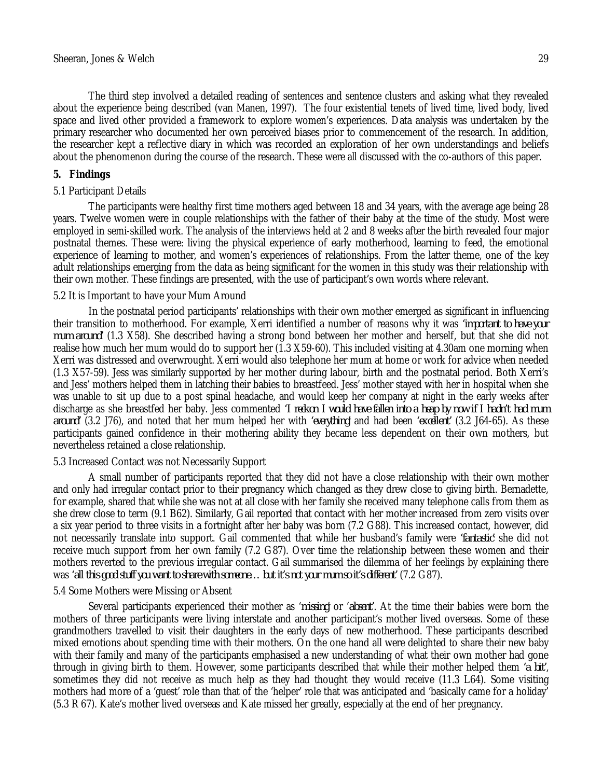The third step involved a detailed reading of sentences and sentence clusters and asking what they revealed about the experience being described (van Manen, 1997). The four existential tenets of lived time, lived body, lived space and lived other provided a framework to explore women's experiences. Data analysis was undertaken by the primary researcher who documented her own perceived biases prior to commencement of the research. In addition, the researcher kept a reflective diary in which was recorded an exploration of her own understandings and beliefs about the phenomenon during the course of the research. These were all discussed with the co-authors of this paper.

### **5. Findings**

#### 5.1 Participant Details

The participants were healthy first time mothers aged between 18 and 34 years, with the average age being 28 years. Twelve women were in couple relationships with the father of their baby at the time of the study. Most were employed in semi-skilled work. The analysis of the interviews held at 2 and 8 weeks after the birth revealed four major postnatal themes. These were: living the physical experience of early motherhood, learning to feed, the emotional experience of learning to mother, and women's experiences of relationships. From the latter theme, one of the key adult relationships emerging from the data as being significant for the women in this study was their relationship with their own mother. These findings are presented, with the use of participant's own words where relevant.

### 5.2 It is Important to have your Mum Around

In the postnatal period participants' relationships with their own mother emerged as significant in influencing their transition to motherhood. For example, Xerri identified a number of reasons why it was *'important to have your mum around'* (1.3 X58). She described having a strong bond between her mother and herself, but that she did not realise how much her mum would do to support her (1.3 X59-60). This included visiting at 4.30am one morning when Xerri was distressed and overwrought. Xerri would also telephone her mum at home or work for advice when needed (1.3 X57-59). Jess was similarly supported by her mother during labour, birth and the postnatal period. Both Xerri's and Jess' mothers helped them in latching their babies to breastfeed. Jess' mother stayed with her in hospital when she was unable to sit up due to a post spinal headache, and would keep her company at night in the early weeks after discharge as she breastfed her baby. Jess commented *'I reckon I would have fallen into a heap by now if I hadn't had mum around'* (3.2 J76), and noted that her mum helped her with *'everything'* and had been *'excellent'* (3.2 J64-65). As these participants gained confidence in their mothering ability they became less dependent on their own mothers, but nevertheless retained a close relationship.

#### 5.3 Increased Contact was not Necessarily Support

A small number of participants reported that they did not have a close relationship with their own mother and only had irregular contact prior to their pregnancy which changed as they drew close to giving birth. Bernadette, for example, shared that while she was not at all close with her family she received many telephone calls from them as she drew close to term (9.1 B62). Similarly, Gail reported that contact with her mother increased from zero visits over a six year period to three visits in a fortnight after her baby was born (7.2 G88). This increased contact, however, did not necessarily translate into support. Gail commented that while her husband's family were *'fantastic'* she did not receive much support from her own family (7.2 G87). Over time the relationship between these women and their mothers reverted to the previous irregular contact. Gail summarised the dilemma of her feelings by explaining there was *'all this good stuff you want to share with someone… but it's not your mum so it's different'* (7.2 G87).

#### 5.4 Some Mothers were Missing or Absent

Several participants experienced their mother as '*missing*' or '*absent'*. At the time their babies were born the mothers of three participants were living interstate and another participant's mother lived overseas. Some of these grandmothers travelled to visit their daughters in the early days of new motherhood. These participants described mixed emotions about spending time with their mothers. On the one hand all were delighted to share their new baby with their family and many of the participants emphasised a new understanding of what their own mother had gone through in giving birth to them. However, some participants described that while their mother helped them *'a bit'*, sometimes they did not receive as much help as they had thought they would receive (11.3 L64). Some visiting mothers had more of a 'guest' role than that of the 'helper' role that was anticipated and 'basically came for a holiday' (5.3 R 67). Kate's mother lived overseas and Kate missed her greatly, especially at the end of her pregnancy.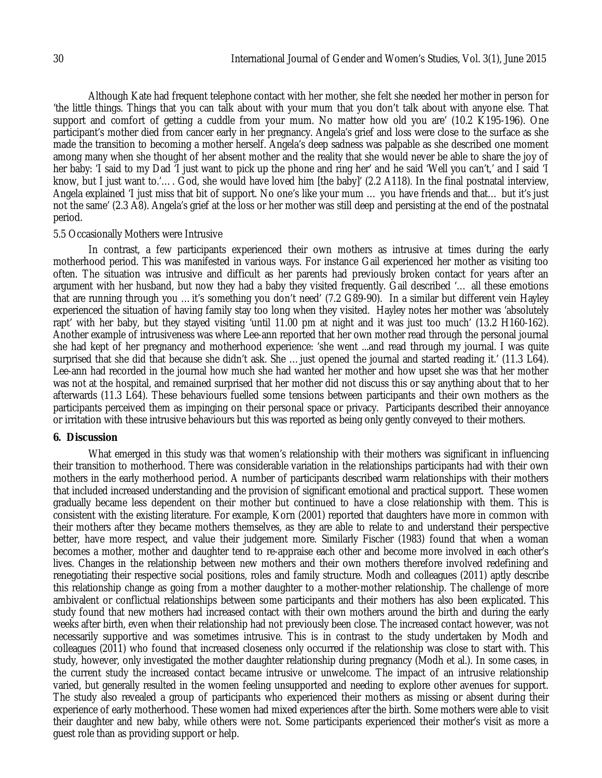Although Kate had frequent telephone contact with her mother, she felt she needed her mother in person for 'the little things. Things that you can talk about with your mum that you don't talk about with anyone else. That support and comfort of getting a cuddle from your mum. No matter how old you are' (10.2 K195-196). One participant's mother died from cancer early in her pregnancy. Angela's grief and loss were close to the surface as she made the transition to becoming a mother herself. Angela's deep sadness was palpable as she described one moment among many when she thought of her absent mother and the reality that she would never be able to share the joy of her baby: 'I said to my Dad 'I just want to pick up the phone and ring her' and he said 'Well you can't,' and I said 'I know, but I just want to.'…. God, she would have loved him [the baby]' (2.2 A118). In the final postnatal interview, Angela explained 'I just miss that bit of support. No one's like your mum … you have friends and that… but it's just not the same' (2.3 A8). Angela's grief at the loss or her mother was still deep and persisting at the end of the postnatal period.

### 5.5 Occasionally Mothers were Intrusive

In contrast, a few participants experienced their own mothers as intrusive at times during the early motherhood period. This was manifested in various ways. For instance Gail experienced her mother as visiting too often. The situation was intrusive and difficult as her parents had previously broken contact for years after an argument with her husband, but now they had a baby they visited frequently. Gail described '… all these emotions that are running through you …it's something you don't need' (7.2 G89-90). In a similar but different vein Hayley experienced the situation of having family stay too long when they visited. Hayley notes her mother was 'absolutely rapt' with her baby, but they stayed visiting 'until 11.00 pm at night and it was just too much' (13.2 H160-162). Another example of intrusiveness was where Lee-ann reported that her own mother read through the personal journal she had kept of her pregnancy and motherhood experience: 'she went ...and read through my journal. I was quite surprised that she did that because she didn't ask. She …just opened the journal and started reading it.' (11.3 L64). Lee-ann had recorded in the journal how much she had wanted her mother and how upset she was that her mother was not at the hospital, and remained surprised that her mother did not discuss this or say anything about that to her afterwards (11.3 L64). These behaviours fuelled some tensions between participants and their own mothers as the participants perceived them as impinging on their personal space or privacy. Participants described their annoyance or irritation with these intrusive behaviours but this was reported as being only gently conveyed to their mothers.

#### **6. Discussion**

What emerged in this study was that women's relationship with their mothers was significant in influencing their transition to motherhood. There was considerable variation in the relationships participants had with their own mothers in the early motherhood period. A number of participants described warm relationships with their mothers that included increased understanding and the provision of significant emotional and practical support. These women gradually became less dependent on their mother but continued to have a close relationship with them. This is consistent with the existing literature. For example, Korn (2001) reported that daughters have more in common with their mothers after they became mothers themselves, as they are able to relate to and understand their perspective better, have more respect, and value their judgement more. Similarly Fischer (1983) found that when a woman becomes a mother, mother and daughter tend to re-appraise each other and become more involved in each other's lives. Changes in the relationship between new mothers and their own mothers therefore involved redefining and renegotiating their respective social positions, roles and family structure. Modh and colleagues (2011) aptly describe this relationship change as going from a mother daughter to a mother-mother relationship. The challenge of more ambivalent or conflictual relationships between some participants and their mothers has also been explicated. This study found that new mothers had increased contact with their own mothers around the birth and during the early weeks after birth, even when their relationship had not previously been close. The increased contact however, was not necessarily supportive and was sometimes intrusive. This is in contrast to the study undertaken by Modh and colleagues (2011) who found that increased closeness only occurred if the relationship was close to start with. This study, however, only investigated the mother daughter relationship during pregnancy (Modh et al.). In some cases, in the current study the increased contact became intrusive or unwelcome. The impact of an intrusive relationship varied, but generally resulted in the women feeling unsupported and needing to explore other avenues for support. The study also revealed a group of participants who experienced their mothers as missing or absent during their experience of early motherhood. These women had mixed experiences after the birth. Some mothers were able to visit their daughter and new baby, while others were not. Some participants experienced their mother's visit as more a guest role than as providing support or help.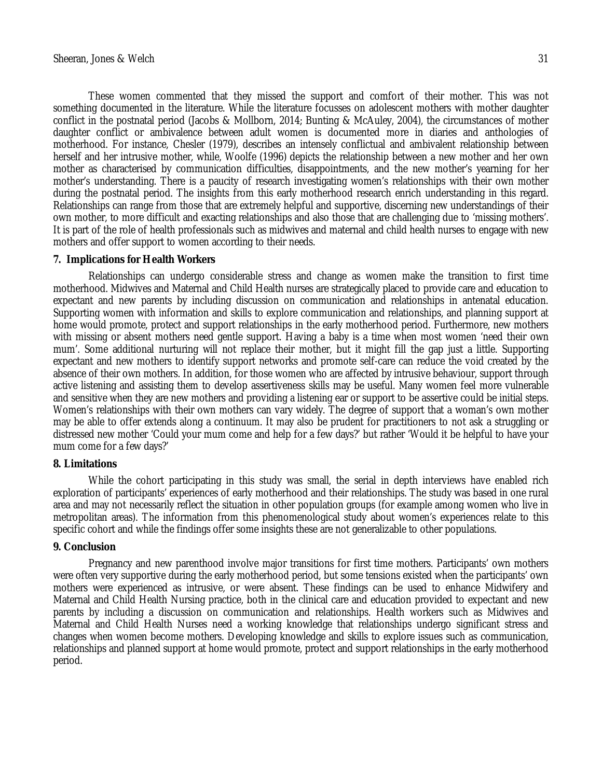These women commented that they missed the support and comfort of their mother. This was not something documented in the literature. While the literature focusses on adolescent mothers with mother daughter conflict in the postnatal period (Jacobs & Mollborn, 2014; Bunting & McAuley, 2004), the circumstances of mother daughter conflict or ambivalence between adult women is documented more in diaries and anthologies of motherhood. For instance, Chesler (1979), describes an intensely conflictual and ambivalent relationship between herself and her intrusive mother, while, Woolfe (1996) depicts the relationship between a new mother and her own mother as characterised by communication difficulties, disappointments, and the new mother's yearning for her mother's understanding. There is a paucity of research investigating women's relationships with their own mother during the postnatal period. The insights from this early motherhood research enrich understanding in this regard. Relationships can range from those that are extremely helpful and supportive, discerning new understandings of their own mother, to more difficult and exacting relationships and also those that are challenging due to 'missing mothers'. It is part of the role of health professionals such as midwives and maternal and child health nurses to engage with new mothers and offer support to women according to their needs.

#### **7. Implications for Health Workers**

Relationships can undergo considerable stress and change as women make the transition to first time motherhood. Midwives and Maternal and Child Health nurses are strategically placed to provide care and education to expectant and new parents by including discussion on communication and relationships in antenatal education. Supporting women with information and skills to explore communication and relationships, and planning support at home would promote, protect and support relationships in the early motherhood period. Furthermore, new mothers with missing or absent mothers need gentle support. Having a baby is a time when most women 'need their own mum'. Some additional nurturing will not replace their mother, but it might fill the gap just a little. Supporting expectant and new mothers to identify support networks and promote self-care can reduce the void created by the absence of their own mothers. In addition, for those women who are affected by intrusive behaviour, support through active listening and assisting them to develop assertiveness skills may be useful. Many women feel more vulnerable and sensitive when they are new mothers and providing a listening ear or support to be assertive could be initial steps. Women's relationships with their own mothers can vary widely. The degree of support that a woman's own mother may be able to offer extends along a continuum. It may also be prudent for practitioners to not ask a struggling or distressed new mother 'Could your mum come and help for a few days?' but rather 'Would it be helpful to have your mum come for a few days?'

### **8. Limitations**

While the cohort participating in this study was small, the serial in depth interviews have enabled rich exploration of participants' experiences of early motherhood and their relationships. The study was based in one rural area and may not necessarily reflect the situation in other population groups (for example among women who live in metropolitan areas). The information from this phenomenological study about women's experiences relate to this specific cohort and while the findings offer some insights these are not generalizable to other populations.

#### **9. Conclusion**

Pregnancy and new parenthood involve major transitions for first time mothers. Participants' own mothers were often very supportive during the early motherhood period, but some tensions existed when the participants' own mothers were experienced as intrusive, or were absent. These findings can be used to enhance Midwifery and Maternal and Child Health Nursing practice, both in the clinical care and education provided to expectant and new parents by including a discussion on communication and relationships. Health workers such as Midwives and Maternal and Child Health Nurses need a working knowledge that relationships undergo significant stress and changes when women become mothers. Developing knowledge and skills to explore issues such as communication, relationships and planned support at home would promote, protect and support relationships in the early motherhood period.